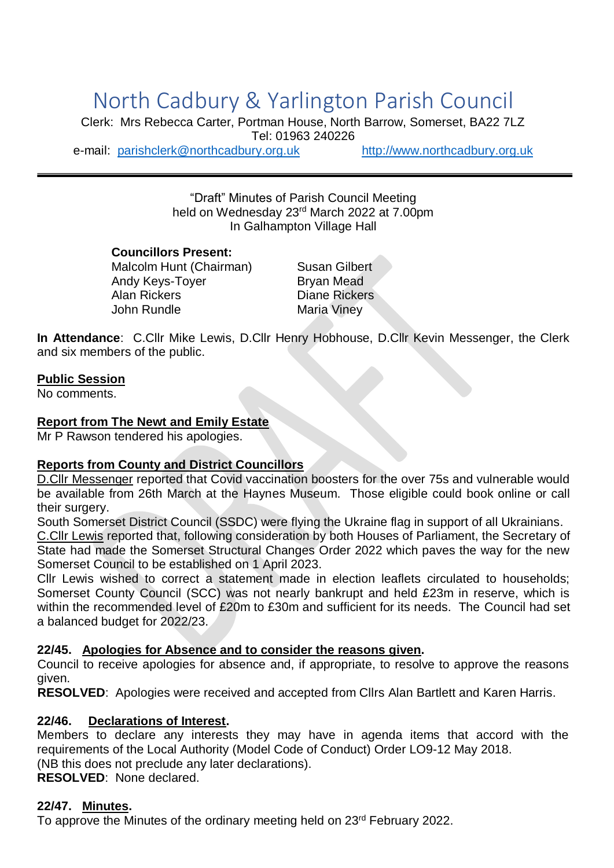# North Cadbury & Yarlington Parish Council

Clerk: Mrs Rebecca Carter, Portman House, North Barrow, Somerset, BA22 7LZ Tel: 01963 240226 e-mail: [parishclerk@northcadbury.org.uk](mailto:parishclerk@northcadbury.org.uk) [http://www.northcadbury.org.uk](http://www.northcadbury.org.uk/)

> "Draft" Minutes of Parish Council Meeting held on Wednesday 23rd March 2022 at 7.00pm In Galhampton Village Hall

**Councillors Present:** Malcolm Hunt (Chairman) Susan Gilbert Andy Keys-Toyer Bryan Mead Alan Rickers **Diane Rickers** John Rundle Maria Viney

**In Attendance**: C.Cllr Mike Lewis, D.Cllr Henry Hobhouse, D.Cllr Kevin Messenger, the Clerk and six members of the public.

#### **Public Session**

No comments.

#### **Report from The Newt and Emily Estate**

Mr P Rawson tendered his apologies.

#### **Reports from County and District Councillors**

D.Cllr Messenger reported that Covid vaccination boosters for the over 75s and vulnerable would be available from 26th March at the Haynes Museum. Those eligible could book online or call their surgery.

South Somerset District Council (SSDC) were flying the Ukraine flag in support of all Ukrainians. C.Cllr Lewis reported that, following consideration by both Houses of Parliament, the Secretary of State had made the Somerset Structural Changes Order 2022 which paves the way for the new Somerset Council to be established on 1 April 2023.

Cllr Lewis wished to correct a statement made in election leaflets circulated to households; Somerset County Council (SCC) was not nearly bankrupt and held £23m in reserve, which is within the recommended level of £20m to £30m and sufficient for its needs. The Council had set a balanced budget for 2022/23.

#### **22/45. Apologies for Absence and to consider the reasons given.**

Council to receive apologies for absence and, if appropriate, to resolve to approve the reasons given.

**RESOLVED**: Apologies were received and accepted from Cllrs Alan Bartlett and Karen Harris.

#### **22/46. Declarations of Interest.**

Members to declare any interests they may have in agenda items that accord with the requirements of the Local Authority (Model Code of Conduct) Order LO9-12 May 2018. (NB this does not preclude any later declarations). **RESOLVED**: None declared.

#### **22/47. Minutes.**

To approve the Minutes of the ordinary meeting held on 23<sup>rd</sup> February 2022.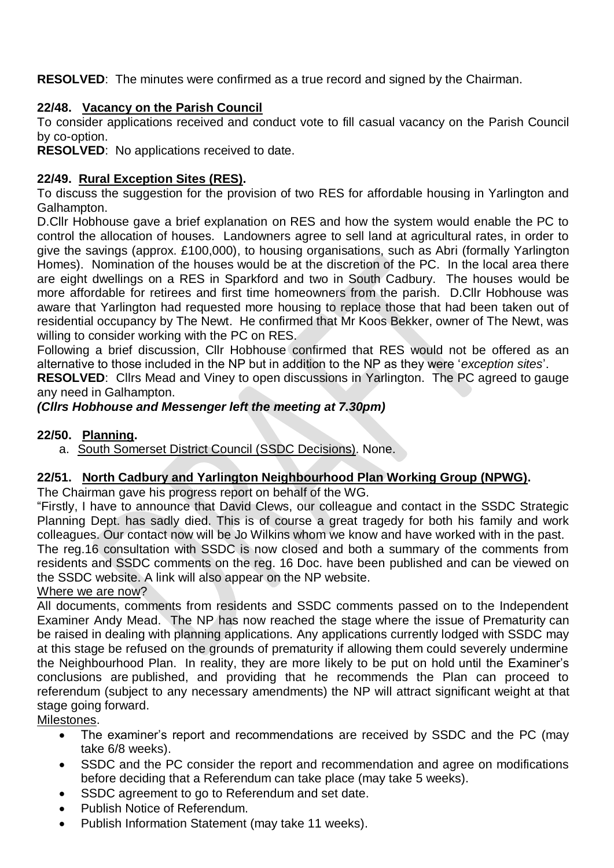**RESOLVED**: The minutes were confirmed as a true record and signed by the Chairman.

## **22/48. Vacancy on the Parish Council**

To consider applications received and conduct vote to fill casual vacancy on the Parish Council by co-option.

**RESOLVED**: No applications received to date.

#### **22/49. Rural Exception Sites (RES).**

To discuss the suggestion for the provision of two RES for affordable housing in Yarlington and Galhampton.

D.Cllr Hobhouse gave a brief explanation on RES and how the system would enable the PC to control the allocation of houses. Landowners agree to sell land at agricultural rates, in order to give the savings (approx. £100,000), to housing organisations, such as Abri (formally Yarlington Homes). Nomination of the houses would be at the discretion of the PC. In the local area there are eight dwellings on a RES in Sparkford and two in South Cadbury. The houses would be more affordable for retirees and first time homeowners from the parish. D.Cllr Hobhouse was aware that Yarlington had requested more housing to replace those that had been taken out of residential occupancy by The Newt. He confirmed that Mr Koos Bekker, owner of The Newt, was willing to consider working with the PC on RES.

Following a brief discussion, Cllr Hobhouse confirmed that RES would not be offered as an alternative to those included in the NP but in addition to the NP as they were '*exception sites*'.

**RESOLVED**: Cllrs Mead and Viney to open discussions in Yarlington. The PC agreed to gauge any need in Galhampton.

## *(Cllrs Hobhouse and Messenger left the meeting at 7.30pm)*

#### **22/50. Planning.**

a. South Somerset District Council (SSDC Decisions). None.

## **22/51. North Cadbury and Yarlington Neighbourhood Plan Working Group (NPWG).**

The Chairman gave his progress report on behalf of the WG.

"Firstly, I have to announce that David Clews, our colleague and contact in the SSDC Strategic Planning Dept. has sadly died. This is of course a great tragedy for both his family and work colleagues. Our contact now will be Jo Wilkins whom we know and have worked with in the past. The reg.16 consultation with SSDC is now closed and both a summary of the comments from residents and SSDC comments on the reg. 16 Doc. have been published and can be viewed on the SSDC website. A link will also appear on the NP website.

Where we are now?

All documents, comments from residents and SSDC comments passed on to the Independent Examiner Andy Mead. The NP has now reached the stage where the issue of Prematurity can be raised in dealing with planning applications. Any applications currently lodged with SSDC may at this stage be refused on the grounds of prematurity if allowing them could severely undermine the Neighbourhood Plan. In reality, they are more likely to be put on hold until the Examiner's conclusions are published, and providing that he recommends the Plan can proceed to referendum (subject to any necessary amendments) the NP will attract significant weight at that stage going forward.

Milestones.

- The examiner's report and recommendations are received by SSDC and the PC (may take 6/8 weeks).
- SSDC and the PC consider the report and recommendation and agree on modifications before deciding that a Referendum can take place (may take 5 weeks).
- SSDC agreement to go to Referendum and set date.
- Publish Notice of Referendum.
- Publish Information Statement (may take 11 weeks).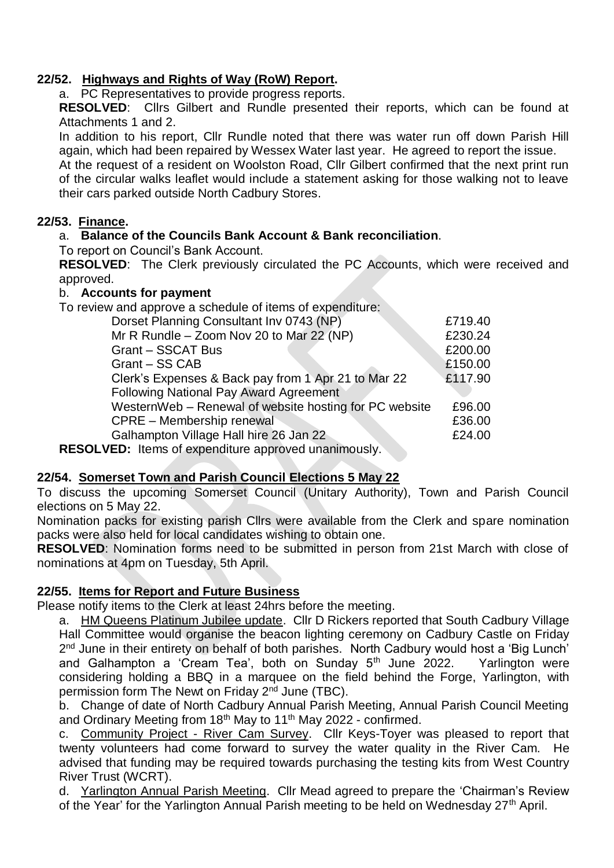## **22/52. Highways and Rights of Way (RoW) Report.**

a. PC Representatives to provide progress reports.

**RESOLVED**: Cllrs Gilbert and Rundle presented their reports, which can be found at Attachments 1 and 2.

In addition to his report, Cllr Rundle noted that there was water run off down Parish Hill again, which had been repaired by Wessex Water last year. He agreed to report the issue.

At the request of a resident on Woolston Road, Cllr Gilbert confirmed that the next print run of the circular walks leaflet would include a statement asking for those walking not to leave their cars parked outside North Cadbury Stores.

## **22/53. Finance.**

## a. **Balance of the Councils Bank Account & Bank reconciliation**.

To report on Council's Bank Account.

**RESOLVED**: The Clerk previously circulated the PC Accounts, which were received and approved.

## b. **Accounts for payment**

To review and approve a schedule of items of expenditure:

| Dorset Planning Consultant Inv 0743 (NP)                                                                     | £719.40 |
|--------------------------------------------------------------------------------------------------------------|---------|
| Mr R Rundle - Zoom Nov 20 to Mar 22 (NP)                                                                     | £230.24 |
| <b>Grant - SSCAT Bus</b>                                                                                     | £200.00 |
| Grant - SS CAB                                                                                               | £150.00 |
| Clerk's Expenses & Back pay from 1 Apr 21 to Mar 22                                                          | £117.90 |
| <b>Following National Pay Award Agreement</b>                                                                |         |
| WesternWeb - Renewal of website hosting for PC website                                                       | £96.00  |
| <b>CPRE - Membership renewal</b>                                                                             | £36.00  |
| Galhampton Village Hall hire 26 Jan 22                                                                       | £24.00  |
| $\mathbf{F} \mathbf{D}$ . The second of accuracy efficiency conducted and the conduction of the $\mathbf{F}$ |         |

**RESOLVED:** Items of expenditure approved unanimously.

## **22/54. Somerset Town and Parish Council Elections 5 May 22**

To discuss the upcoming Somerset Council (Unitary Authority), Town and Parish Council elections on 5 May 22.

Nomination packs for existing parish Cllrs were available from the Clerk and spare nomination packs were also held for local candidates wishing to obtain one.

**RESOLVED**: Nomination forms need to be submitted in person from 21st March with close of nominations at 4pm on Tuesday, 5th April.

## **22/55. Items for Report and Future Business**

Please notify items to the Clerk at least 24hrs before the meeting.

a. HM Queens Platinum Jubilee update. Cllr D Rickers reported that South Cadbury Village Hall Committee would organise the beacon lighting ceremony on Cadbury Castle on Friday 2<sup>nd</sup> June in their entirety on behalf of both parishes. North Cadbury would host a 'Big Lunch' and Galhampton a 'Cream Tea', both on Sunday  $5<sup>th</sup>$  June 2022. Yarlington were considering holding a BBQ in a marquee on the field behind the Forge, Yarlington, with permission form The Newt on Friday 2nd June (TBC).

b. Change of date of North Cadbury Annual Parish Meeting, Annual Parish Council Meeting and Ordinary Meeting from 18<sup>th</sup> May to 11<sup>th</sup> May 2022 - confirmed.

c. Community Project - River Cam Survey. Cllr Keys-Toyer was pleased to report that twenty volunteers had come forward to survey the water quality in the River Cam. He advised that funding may be required towards purchasing the testing kits from West Country River Trust (WCRT).

d. Yarlington Annual Parish Meeting. Cllr Mead agreed to prepare the 'Chairman's Review of the Year' for the Yarlington Annual Parish meeting to be held on Wednesday 27<sup>th</sup> April.